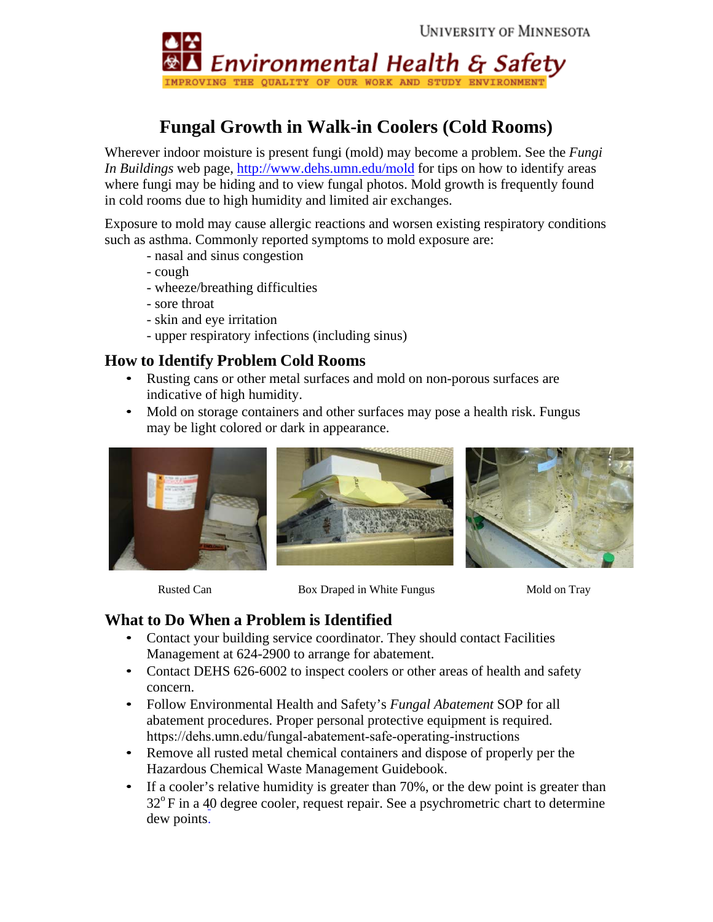

## **Fungal Growth in Walk-in Coolers (Cold Rooms)**

Wherever indoor moisture is present fungi (mold) may become a problem. See the *Fungi In Buildings* web page, [http://www.dehs.umn.edu/](http://www.dehs.umn.edu/mold)mold for tips on how to identify areas where fungi may be hiding and to view fungal photos. Mold growth is frequently found in cold rooms due to high humidity and limited air exchanges.

Exposure to mold may cause allergic reactions and worsen existing respiratory conditions such as asthma. Commonly reported symptoms to mold exposure are:

- nasal and sinus congestion
- cough
- wheeze/breathing difficulties
- sore throat
- skin and eye irritation
- upper respiratory infections (including sinus)

## **How to Identify Problem Cold Rooms**

- Rusting cans or other metal surfaces and mold on non-porous surfaces are indicative of high humidity.
- Mold on storage containers and other surfaces may pose a health risk. Fungus may be light colored or dark in appearance.







Rusted Can Box Draped in White Fungus Mold on Tray

## **What to Do When a Problem is Identified**

- Contact your building service coordinator. They should contact Facilities Management at 624-2900 to arrange for abatement.
- Contact DEHS 626-6002 to inspect coolers or other areas of health and safety concern.
- Follow Environmental Health and Safety's *Fungal Abatement* SOP for all abatement procedure[s.](http://www.dehs.umn.edu/iaq_fasop.htm) Proper personal protective equipment is required. https://dehs.umn.edu/fungal-abatement-safe-operating-instructions
- Remove all rusted metal chemical containers and dispose of properly per the Hazardous Chemical Waste Management Guidebook.
- If a cooler's relative humidity is greater than 70%, or the dew point is greater than  $32^{\circ}$ F in a 40 degree cooler, request repair. See a psychrometric chart to determine dew points.